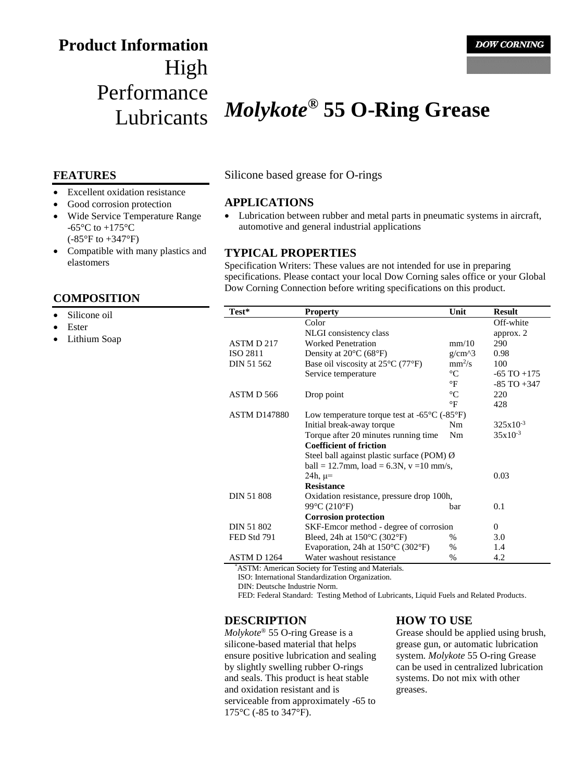# **Product Information** High Performance

# Lubricants *Molykote***® 55 O-Ring Grease**

## **FEATURES**

- Excellent oxidation resistance
- Good corrosion protection
- Wide Service Temperature Range -65 $\rm{^{\circ}C}$  to +175 $\rm{^{\circ}C}$ (-85°F to +347°F)
- Compatible with many plastics and elastomers

### **COMPOSITION**

- Silicone oil
- Ester
- Lithium Soap

Silicone based grease for O-rings

### **APPLICATIONS**

 Lubrication between rubber and metal parts in pneumatic systems in aircraft, automotive and general industrial applications

#### **TYPICAL PROPERTIES**

Specification Writers: These values are not intended for use in preparing specifications. Please contact your local Dow Corning sales office or your Global Dow Corning Connection before writing specifications on this product.

| Test*               | <b>Property</b>                                                   | Unit            | <b>Result</b>   |
|---------------------|-------------------------------------------------------------------|-----------------|-----------------|
|                     | Color                                                             |                 | Off-white       |
|                     | NLGI consistency class                                            |                 | approx. 2       |
| ASTM D 217          | <b>Worked Penetration</b>                                         | mm/10           | 290             |
| <b>ISO 2811</b>     | Density at $20^{\circ}$ C (68 $^{\circ}$ F)                       | $g/cm^{3}$      | 0.98            |
| DIN 51 562          | Base oil viscosity at $25^{\circ}$ C (77 $^{\circ}$ F)            | $mm^2/s$        | 100             |
|                     | Service temperature                                               | $\rm ^{\circ}C$ | $-65$ TO $+175$ |
|                     |                                                                   | °F              | $-85$ TO $+347$ |
| ASTM D 566          | Drop point                                                        | $^{\circ}C$     | 220             |
|                     |                                                                   | °F              | 428             |
| <b>ASTM D147880</b> | Low temperature torque test at $-65^{\circ}$ C ( $-85^{\circ}$ F) |                 |                 |
|                     | Initial break-away torque                                         | N <sub>m</sub>  | $325x10^{-3}$   |
|                     | Torque after 20 minutes running time                              | Nm              | $35x10^{-3}$    |
|                     | <b>Coefficient of friction</b>                                    |                 |                 |
|                     | Steel ball against plastic surface (POM) Ø                        |                 |                 |
|                     | ball = 12.7mm, load = 6.3N, $v = 10$ mm/s,                        |                 |                 |
|                     | 24h, $\mu$ =                                                      |                 | 0.03            |
|                     | <b>Resistance</b>                                                 |                 |                 |
| <b>DIN 51 808</b>   | Oxidation resistance, pressure drop 100h,                         |                 |                 |
|                     | 99°C (210°F)                                                      | bar             | 0.1             |
|                     | <b>Corrosion protection</b>                                       |                 |                 |
| DIN 51 802          | SKF-Emcor method - degree of corrosion                            |                 | $\overline{0}$  |
| FED Std 791         | Bleed, 24h at $150^{\circ}$ C (302 $^{\circ}$ F)                  | %               | 3.0             |
|                     | Evaporation, 24h at $150^{\circ}$ C (302 $^{\circ}$ F)            | $\%$            | 1.4             |
| ASTM D 1264         | Water washout resistance                                          | $\%$            | 4.2             |

\*ASTM: American Society for Testing and Materials.

ISO: International Standardization Organization.

DIN: Deutsche Industrie Norm.

FED: Federal Standard: Testing Method of Lubricants, Liquid Fuels and Related Products.

## **DESCRIPTION**

*Molykote*® 55 O-ring Grease is a silicone-based material that helps ensure positive lubrication and sealing by slightly swelling rubber O-rings and seals. This product is heat stable and oxidation resistant and is serviceable from approximately -65 to 175°C (-85 to 347°F).

### **HOW TO USE**

Grease should be applied using brush, grease gun, or automatic lubrication system. *Molykote* 55 O-ring Grease can be used in centralized lubrication systems. Do not mix with other greases.